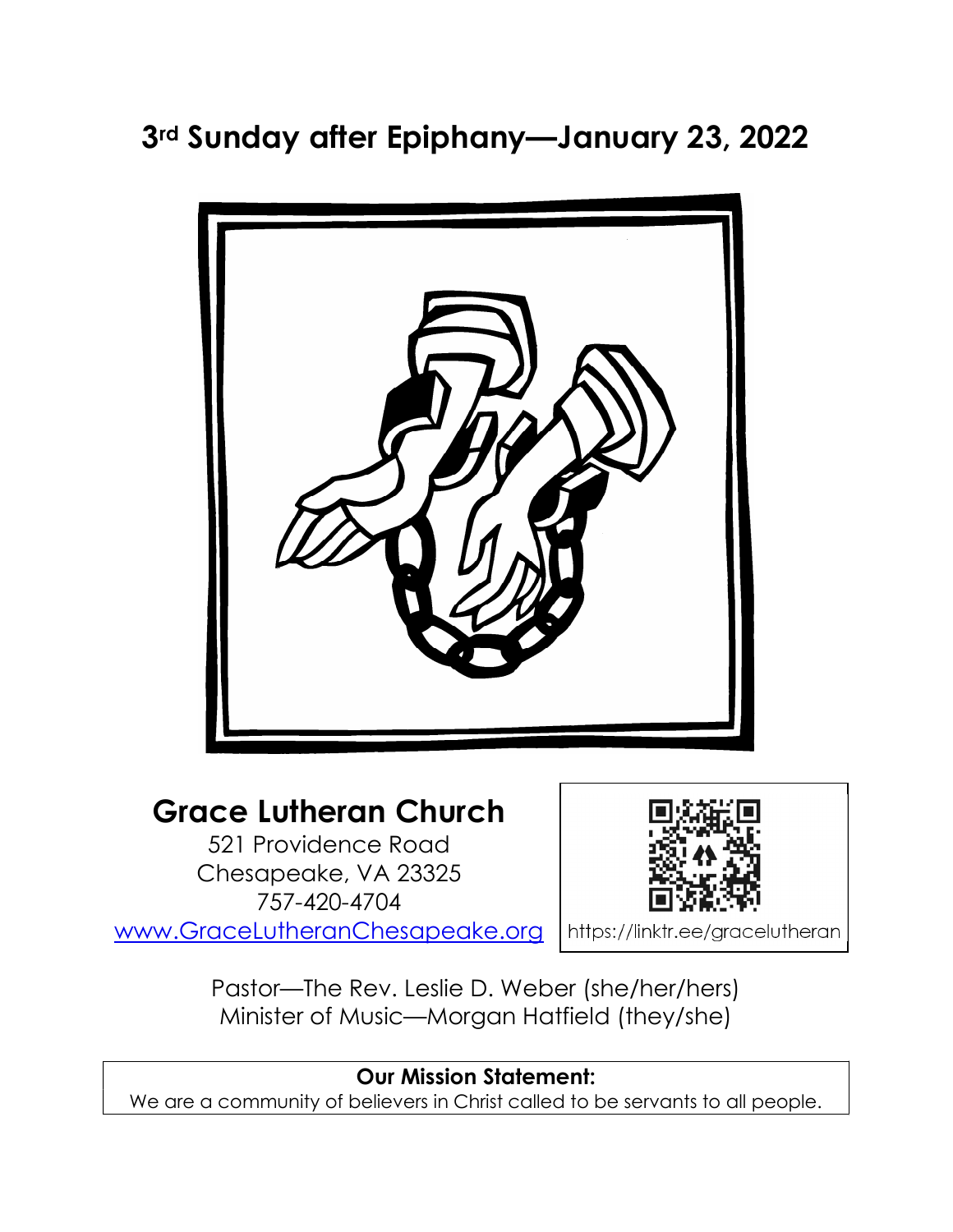# 3rd Sunday after Epiphany—January 23, 2022



# Grace Lutheran Church

521 Providence Road Chesapeake, VA 23325 757-420-4704 www.GraceLutheranChesapeake.org



https://linktr.ee/gracelutheran

Pastor—The Rev. Leslie D. Weber (she/her/hers) Minister of Music—Morgan Hatfield (they/she)

## Our Mission Statement:

We are a community of believers in Christ called to be servants to all people.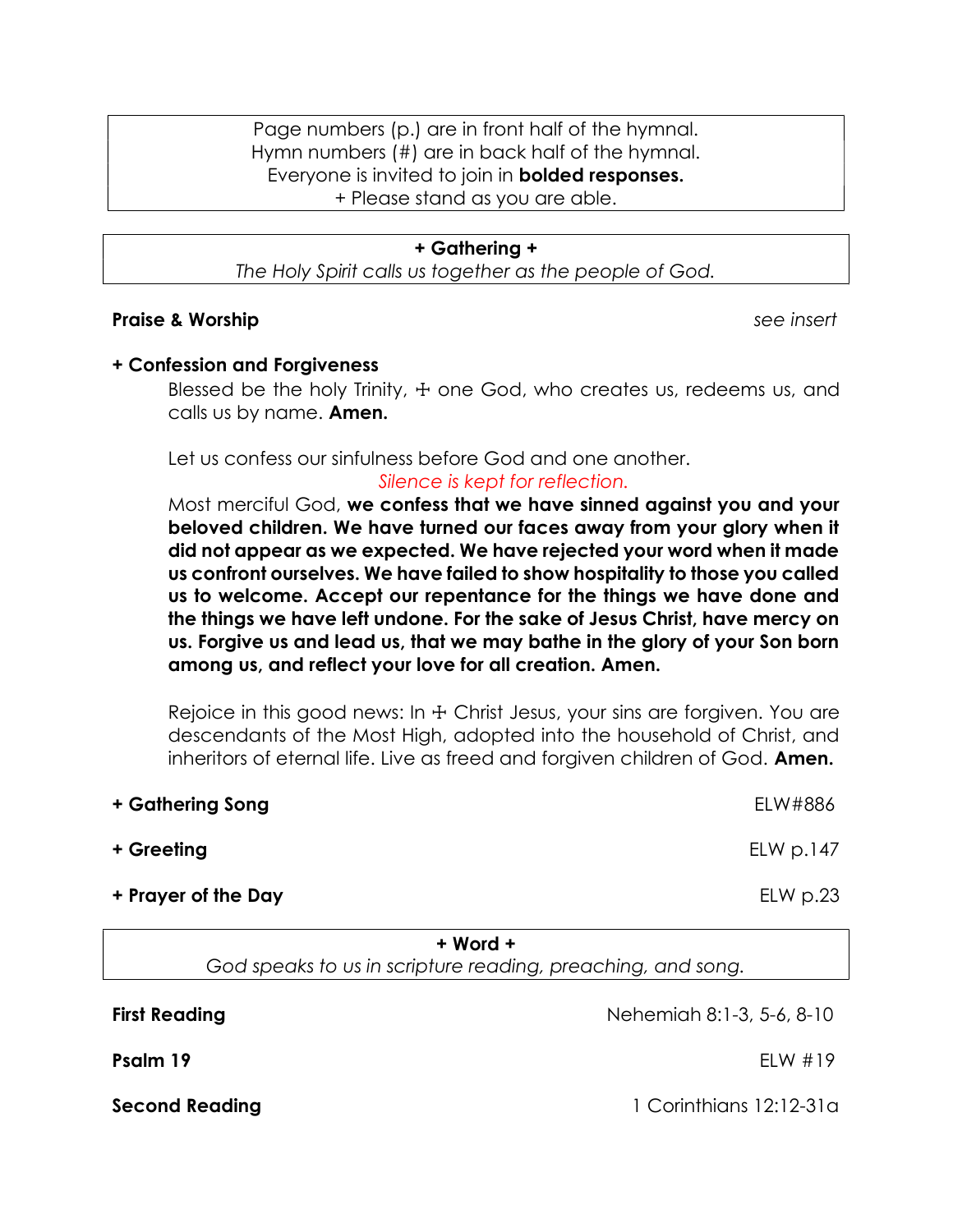Page numbers (p.) are in front half of the hymnal. Hymn numbers (#) are in back half of the hymnal. Everyone is invited to join in **bolded responses.** + Please stand as you are able.

#### + Gathering +

The Holy Spirit calls us together as the people of God.

#### Praise & Worship see insert in the set of the seeding of the seeding of the seeding seeding and seeding of the seeding of the seeding of the seeding of the seeding of the seeding of the seeding of the seeding of the seedin

### + Confession and Forgiveness

Blessed be the holy Trinity,  $\pm$  one God, who creates us, redeems us, and calls us by name. **Amen.** 

Let us confess our sinfulness before God and one another.

#### Silence is kept for reflection.

Most merciful God, we confess that we have sinned against you and your beloved children. We have turned our faces away from your glory when it did not appear as we expected. We have rejected your word when it made us confront ourselves. We have failed to show hospitality to those you called us to welcome. Accept our repentance for the things we have done and the things we have left undone. For the sake of Jesus Christ, have mercy on us. Forgive us and lead us, that we may bathe in the glory of your Son born among us, and reflect your love for all creation. Amen.

Rejoice in this good news: In  $\pm$  Christ Jesus, your sins are forgiven. You are descendants of the Most High, adopted into the household of Christ, and inheritors of eternal life. Live as freed and forgiven children of God. **Amen.** 

| + Gathering Song    | ELW#886                           |
|---------------------|-----------------------------------|
| + Greeting          | E <sub>L</sub> W <sub>D.147</sub> |
| + Prayer of the Day | $E$ LW p.23                       |

+ Word +

God speaks to us in scripture reading, preaching, and song.

**First Reading** Nehemiah 8:1-3, 5-6, 8-10

**Psalm 19** ELW #19

Second Reading 12:12-31a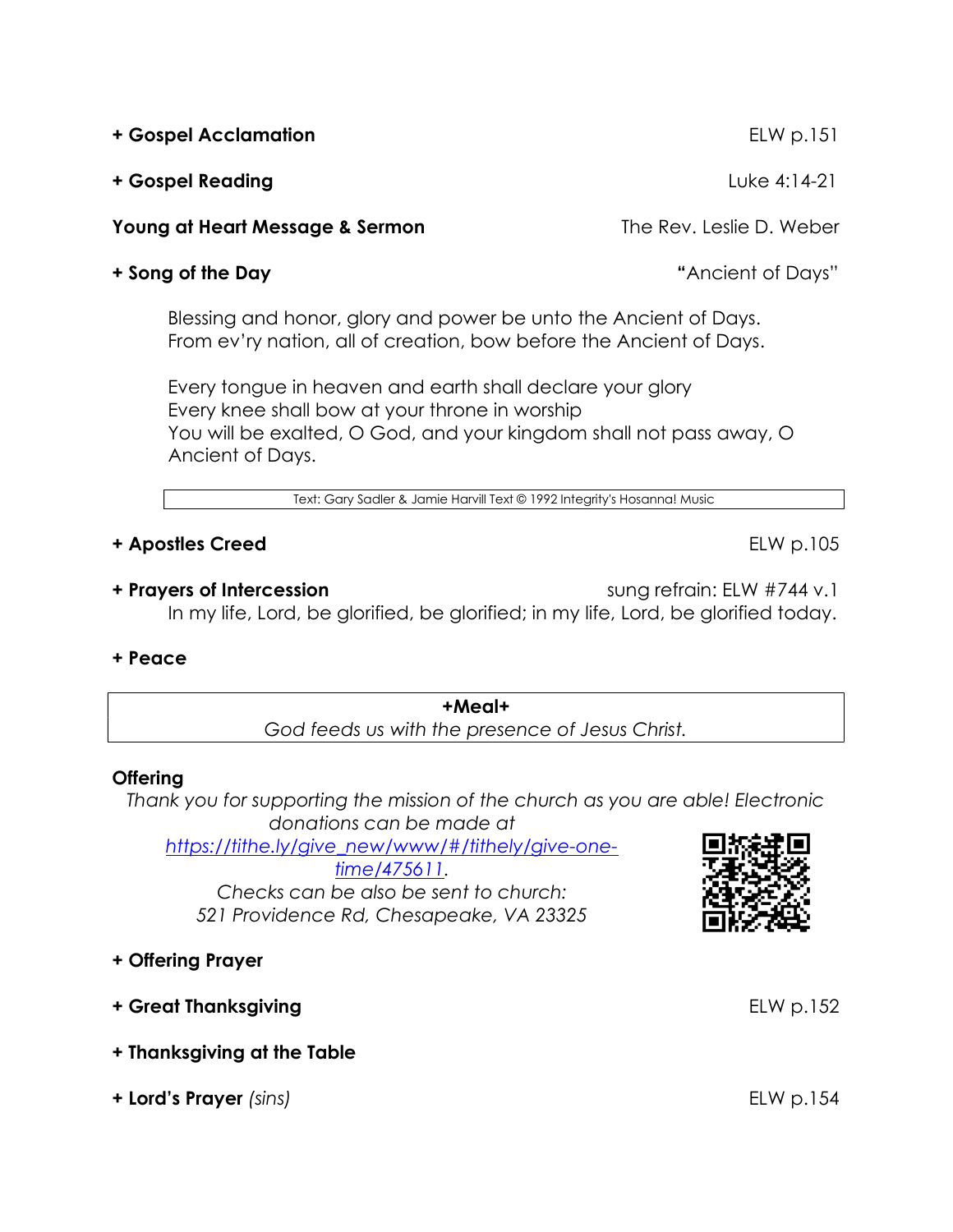+ Gospel Acclamation ELW p.151 + Gospel Reading Luke 4:14-21

Young at Heart Message & Sermon The Rev. Leslie D. Weber

## + Song of the Day  $\blacksquare$  + Song of the Days  $\blacksquare$

Blessing and honor, glory and power be unto the Ancient of Days. From ev'ry nation, all of creation, bow before the Ancient of Days.

Every tongue in heaven and earth shall declare your glory Every knee shall bow at your throne in worship You will be exalted, O God, and your kingdom shall not pass away, O Ancient of Days.

Text: Gary Sadler & Jamie Harvill Text © 1992 Integrity's Hosanna! Music

## + Apostles Creed ELW p.105

+ Prayers of Intercession sung refrain: ELW #744 v.1 In my life, Lord, be glorified, be glorified; in my life, Lord, be glorified today.

## + Peace

+Meal+ God feeds us with the presence of Jesus Christ.

## **Offering**

Thank you for supporting the mission of the church as you are able! Electronic donations can be made at

https://tithe.ly/give\_new/www/#/tithely/give-onetime/475611.

Checks can be also be sent to church: 521 Providence Rd, Chesapeake, VA 23325

## + Offering Prayer

- + Great Thanksgiving entitled to the ELW p.152
- + Thanksgiving at the Table
- + Lord's Prayer (sins) ELW p.154



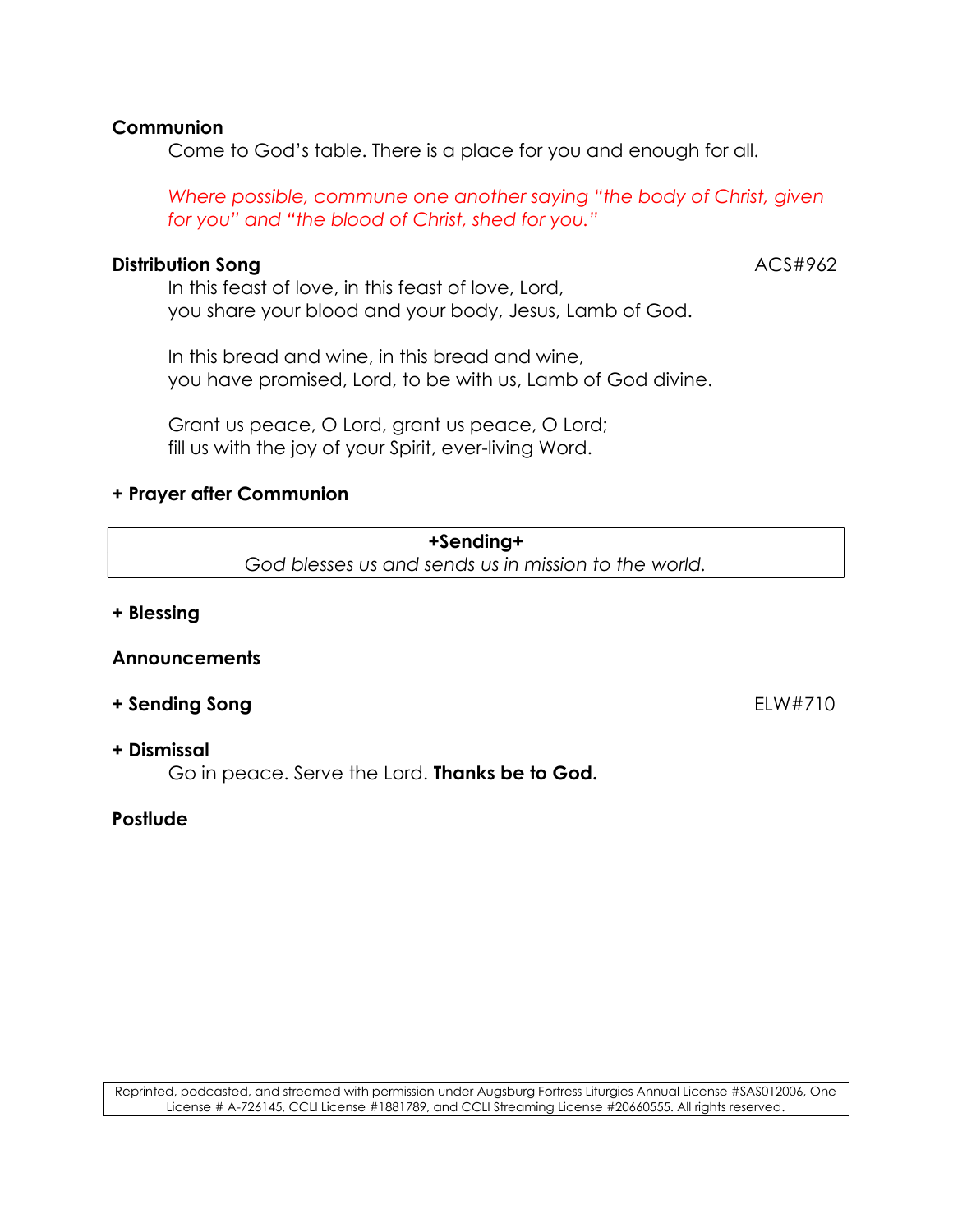## **Communion**

Come to God's table. There is a place for you and enough for all.

Where possible, commune one another saying "the body of Christ, given for you" and "the blood of Christ, shed for you."

## Distribution Song ACS#962

In this feast of love, in this feast of love, Lord, you share your blood and your body, Jesus, Lamb of God.

In this bread and wine, in this bread and wine, you have promised, Lord, to be with us, Lamb of God divine.

Grant us peace, O Lord, grant us peace, O Lord; fill us with the joy of your Spirit, ever-living Word.

## + Prayer after Communion

+Sending+ God blesses us and sends us in mission to the world.

### + Blessing

#### **Announcements**

### + Sending Song **ELW#710**

#### + Dismissal

Go in peace. Serve the Lord. Thanks be to God.

### **Postlude**